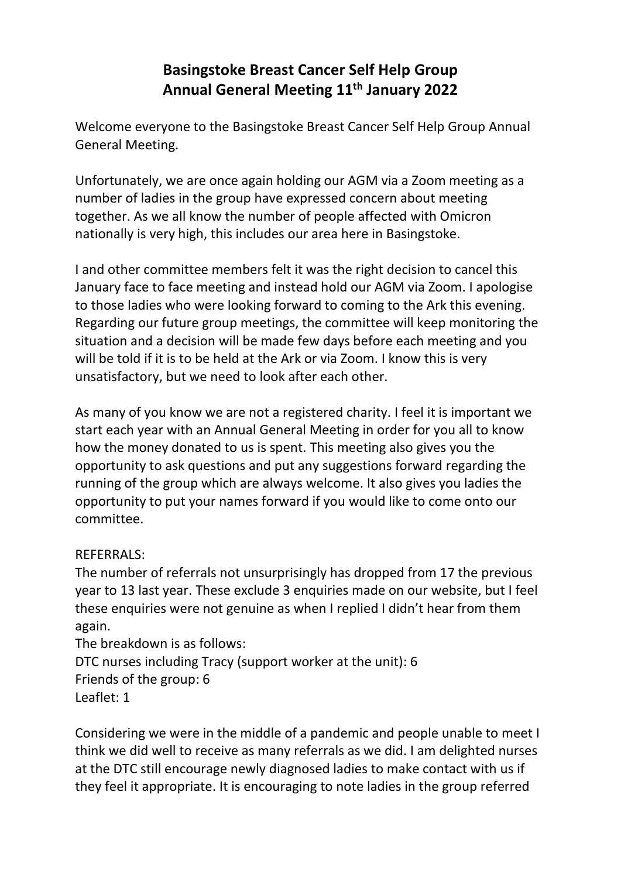# **Basingstoke Breast Cancer Self Help Group Annual General Meeting 11th January 2022**

Welcome everyone to the Basingstoke Breast Cancer Self Help Group Annual General Meeting.

Unfortunately, we are once again holding our AGM via a Zoom meeting as a number of ladies in the group have expressed concern about meeting together. As we all know the number of people affected with Omicron nationally is very high, this includes our area here in Basingstoke.

I and other committee members felt it was the right decision to cancel this January face to face meeting and instead hold our AGM via Zoom. I apologise to those ladies who were looking forward to coming to the Ark this evening. Regarding our future group meetings, the committee will keep monitoring the situation and a decision will be made few days before each meeting and you will be told if it is to be held at the Ark or via Zoom. I know this is very unsatisfactory, but we need to look after each other.

As many of you know we are not a registered charity. I feel it is important we start each year with an Annual General Meeting in order for you all to know how the money donated to us is spent. This meeting also gives you the opportunity to ask questions and put any suggestions forward regarding the running of the group which are always welcome. It also gives you ladies the opportunity to put your names forward if you would like to come onto our committee.

## REFERRALS:

The number of referrals not unsurprisingly has dropped from 17 the previous year to 13 last year. These exclude 3 enquiries made on our website, but I feel these enquiries were not genuine as when I replied I didn't hear from them again.

The breakdown is as follows:

DTC nurses including Tracy (support worker at the unit): 6

Friends of the group: 6

Leaflet: 1

Considering we were in the middle of a pandemic and people unable to meet I think we did well to receive as many referrals as we did. I am delighted nurses at the DTC still encourage newly diagnosed ladies to make contact with us if they feel it appropriate. It is encouraging to note ladies in the group referred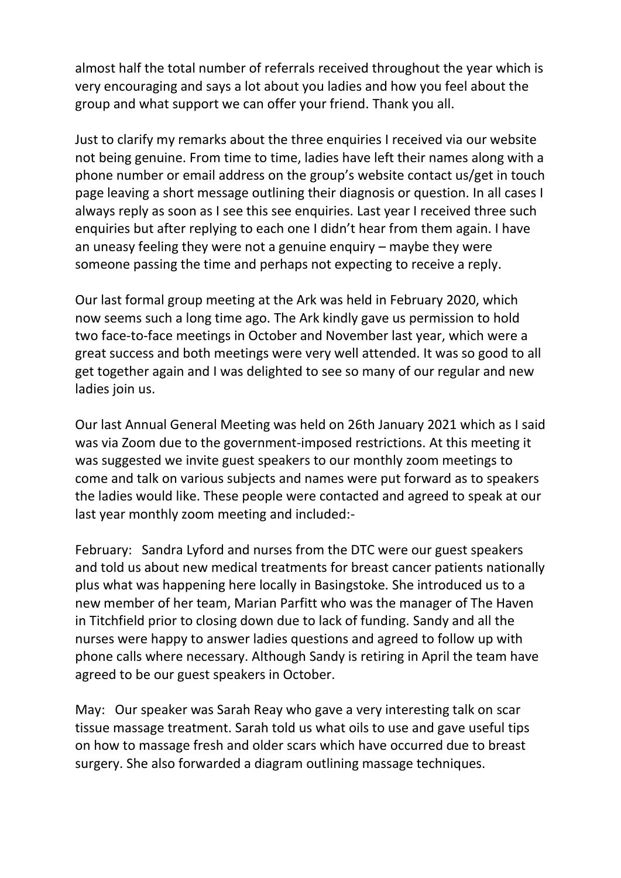almost half the total number of referrals received throughout the year which is very encouraging and says a lot about you ladies and how you feel about the group and what support we can offer your friend. Thank you all.

Just to clarify my remarks about the three enquiries I received via our website not being genuine. From time to time, ladies have left their names along with a phone number or email address on the group's website contact us/get in touch page leaving a short message outlining their diagnosis or question. In all cases I always reply as soon as I see this see enquiries. Last year I received three such enquiries but after replying to each one I didn't hear from them again. I have an uneasy feeling they were not a genuine enquiry – maybe they were someone passing the time and perhaps not expecting to receive a reply.

Our last formal group meeting at the Ark was held in February 2020, which now seems such a long time ago. The Ark kindly gave us permission to hold two face-to-face meetings in October and November last year, which were a great success and both meetings were very well attended. It was so good to all get together again and I was delighted to see so many of our regular and new ladies join us.

Our last Annual General Meeting was held on 26th January 2021 which as I said was via Zoom due to the government-imposed restrictions. At this meeting it was suggested we invite guest speakers to our monthly zoom meetings to come and talk on various subjects and names were put forward as to speakers the ladies would like. These people were contacted and agreed to speak at our last year monthly zoom meeting and included:-

February: Sandra Lyford and nurses from the DTC were our guest speakers and told us about new medical treatments for breast cancer patients nationally plus what was happening here locally in Basingstoke. She introduced us to a new member of her team, Marian Parfitt who was the manager of The Haven in Titchfield prior to closing down due to lack of funding. Sandy and all the nurses were happy to answer ladies questions and agreed to follow up with phone calls where necessary. Although Sandy is retiring in April the team have agreed to be our guest speakers in October.

May: Our speaker was Sarah Reay who gave a very interesting talk on scar tissue massage treatment. Sarah told us what oils to use and gave useful tips on how to massage fresh and older scars which have occurred due to breast surgery. She also forwarded a diagram outlining massage techniques.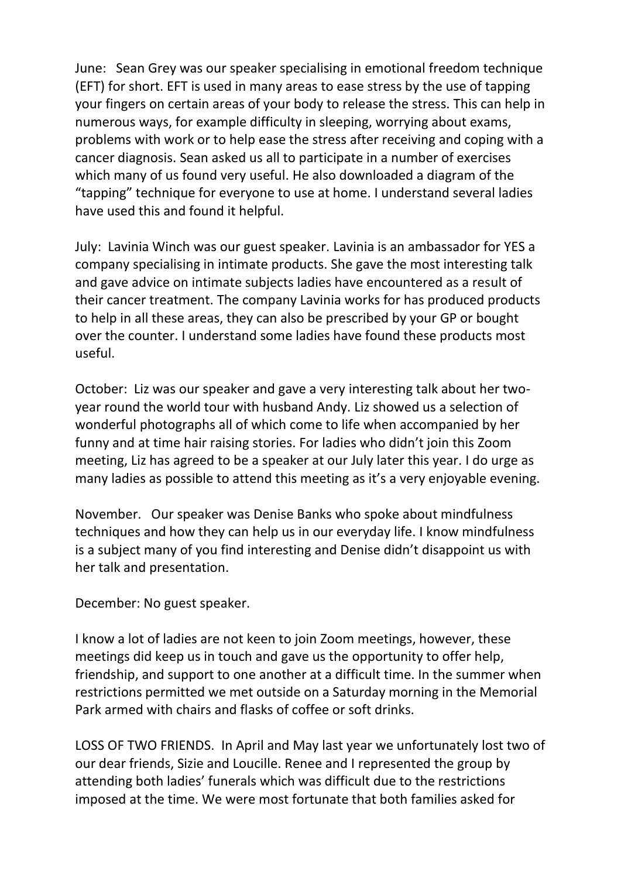June: Sean Grey was our speaker specialising in emotional freedom technique (EFT) for short. EFT is used in many areas to ease stress by the use of tapping your fingers on certain areas of your body to release the stress. This can help in numerous ways, for example difficulty in sleeping, worrying about exams, problems with work or to help ease the stress after receiving and coping with a cancer diagnosis. Sean asked us all to participate in a number of exercises which many of us found very useful. He also downloaded a diagram of the "tapping" technique for everyone to use at home. I understand several ladies have used this and found it helpful.

July: Lavinia Winch was our guest speaker. Lavinia is an ambassador for YES a company specialising in intimate products. She gave the most interesting talk and gave advice on intimate subjects ladies have encountered as a result of their cancer treatment. The company Lavinia works for has produced products to help in all these areas, they can also be prescribed by your GP or bought over the counter. I understand some ladies have found these products most useful.

October: Liz was our speaker and gave a very interesting talk about her twoyear round the world tour with husband Andy. Liz showed us a selection of wonderful photographs all of which come to life when accompanied by her funny and at time hair raising stories. For ladies who didn't join this Zoom meeting, Liz has agreed to be a speaker at our July later this year. I do urge as many ladies as possible to attend this meeting as it's a very enjoyable evening.

November. Our speaker was Denise Banks who spoke about mindfulness techniques and how they can help us in our everyday life. I know mindfulness is a subject many of you find interesting and Denise didn't disappoint us with her talk and presentation.

December: No guest speaker.

I know a lot of ladies are not keen to join Zoom meetings, however, these meetings did keep us in touch and gave us the opportunity to offer help, friendship, and support to one another at a difficult time. In the summer when restrictions permitted we met outside on a Saturday morning in the Memorial Park armed with chairs and flasks of coffee or soft drinks.

LOSS OF TWO FRIENDS. In April and May last year we unfortunately lost two of our dear friends, Sizie and Loucille. Renee and I represented the group by attending both ladies' funerals which was difficult due to the restrictions imposed at the time. We were most fortunate that both families asked for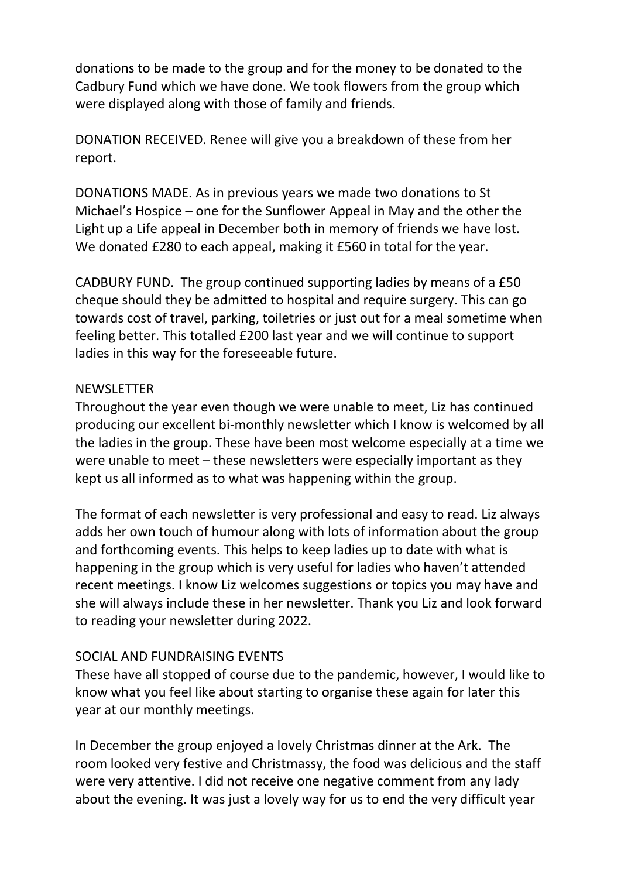donations to be made to the group and for the money to be donated to the Cadbury Fund which we have done. We took flowers from the group which were displayed along with those of family and friends.

DONATION RECEIVED. Renee will give you a breakdown of these from her report.

DONATIONS MADE. As in previous years we made two donations to St Michael's Hospice – one for the Sunflower Appeal in May and the other the Light up a Life appeal in December both in memory of friends we have lost. We donated £280 to each appeal, making it £560 in total for the year.

CADBURY FUND. The group continued supporting ladies by means of a £50 cheque should they be admitted to hospital and require surgery. This can go towards cost of travel, parking, toiletries or just out for a meal sometime when feeling better. This totalled £200 last year and we will continue to support ladies in this way for the foreseeable future.

#### NEWSLETTER

Throughout the year even though we were unable to meet, Liz has continued producing our excellent bi-monthly newsletter which I know is welcomed by all the ladies in the group. These have been most welcome especially at a time we were unable to meet – these newsletters were especially important as they kept us all informed as to what was happening within the group.

The format of each newsletter is very professional and easy to read. Liz always adds her own touch of humour along with lots of information about the group and forthcoming events. This helps to keep ladies up to date with what is happening in the group which is very useful for ladies who haven't attended recent meetings. I know Liz welcomes suggestions or topics you may have and she will always include these in her newsletter. Thank you Liz and look forward to reading your newsletter during 2022.

### SOCIAL AND FUNDRAISING EVENTS

These have all stopped of course due to the pandemic, however, I would like to know what you feel like about starting to organise these again for later this year at our monthly meetings.

In December the group enjoyed a lovely Christmas dinner at the Ark. The room looked very festive and Christmassy, the food was delicious and the staff were very attentive. I did not receive one negative comment from any lady about the evening. It was just a lovely way for us to end the very difficult year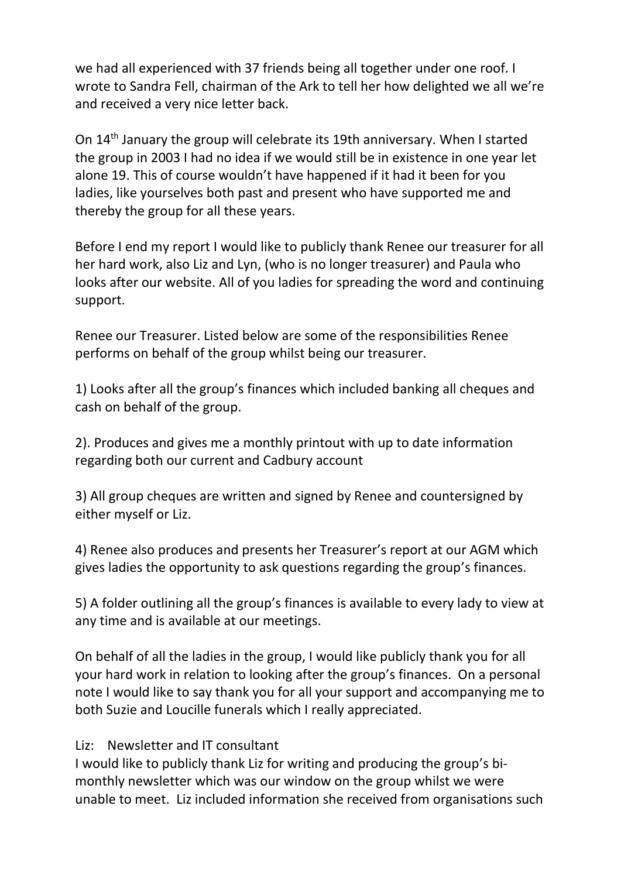we had all experienced with 37 friends being all together under one roof. I wrote to Sandra Fell, chairman of the Ark to tell her how delighted we all we're and received a very nice letter back.

On 14th January the group will celebrate its 19th anniversary. When I started the group in 2003 I had no idea if we would still be in existence in one year let alone 19. This of course wouldn't have happened if it had it been for you ladies, like yourselves both past and present who have supported me and thereby the group for all these years.

Before I end my report I would like to publicly thank Renee our treasurer for all her hard work, also Liz and Lyn, (who is no longer treasurer) and Paula who looks after our website. All of you ladies for spreading the word and continuing support.

Renee our Treasurer. Listed below are some of the responsibilities Renee performs on behalf of the group whilst being our treasurer.

1) Looks after all the group's finances which included banking all cheques and cash on behalf of the group.

2). Produces and gives me a monthly printout with up to date information regarding both our current and Cadbury account

3) All group cheques are written and signed by Renee and countersigned by either myself or Liz.

4) Renee also produces and presents her Treasurer's report at our AGM which gives ladies the opportunity to ask questions regarding the group's finances.

5) A folder outlining all the group's finances is available to every lady to view at any time and is available at our meetings.

On behalf of all the ladies in the group, I would like publicly thank you for all your hard work in relation to looking after the group's finances. On a personal note I would like to say thank you for all your support and accompanying me to both Suzie and Loucille funerals which I really appreciated.

### Liz: Newsletter and IT consultant

I would like to publicly thank Liz for writing and producing the group's bimonthly newsletter which was our window on the group whilst we were unable to meet. Liz included information she received from organisations such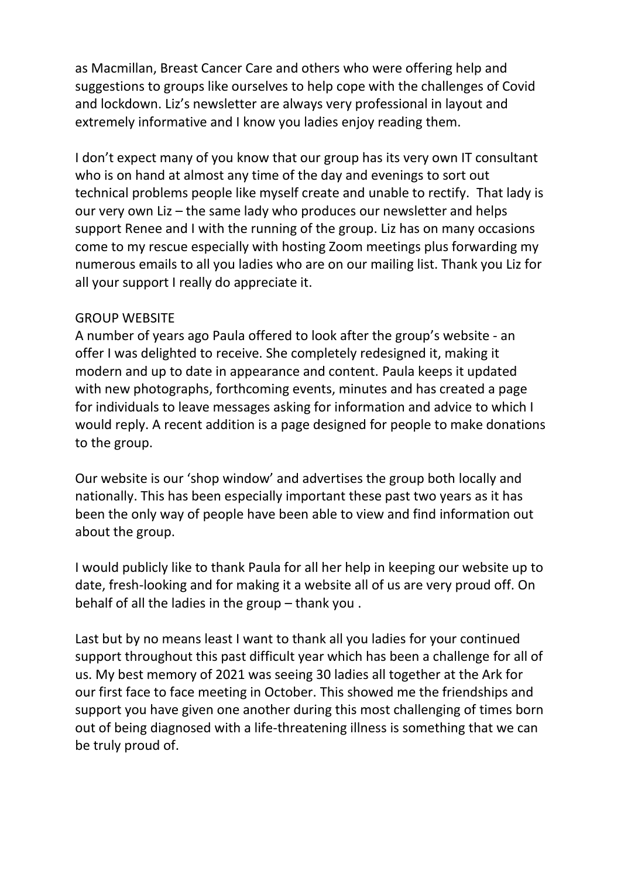as Macmillan, Breast Cancer Care and others who were offering help and suggestions to groups like ourselves to help cope with the challenges of Covid and lockdown. Liz's newsletter are always very professional in layout and extremely informative and I know you ladies enjoy reading them.

I don't expect many of you know that our group has its very own IT consultant who is on hand at almost any time of the day and evenings to sort out technical problems people like myself create and unable to rectify. That lady is our very own Liz – the same lady who produces our newsletter and helps support Renee and I with the running of the group. Liz has on many occasions come to my rescue especially with hosting Zoom meetings plus forwarding my numerous emails to all you ladies who are on our mailing list. Thank you Liz for all your support I really do appreciate it.

### GROUP WEBSITE

A number of years ago Paula offered to look after the group's website - an offer I was delighted to receive. She completely redesigned it, making it modern and up to date in appearance and content. Paula keeps it updated with new photographs, forthcoming events, minutes and has created a page for individuals to leave messages asking for information and advice to which I would reply. A recent addition is a page designed for people to make donations to the group.

Our website is our 'shop window' and advertises the group both locally and nationally. This has been especially important these past two years as it has been the only way of people have been able to view and find information out about the group.

I would publicly like to thank Paula for all her help in keeping our website up to date, fresh-looking and for making it a website all of us are very proud off. On behalf of all the ladies in the group – thank you .

Last but by no means least I want to thank all you ladies for your continued support throughout this past difficult year which has been a challenge for all of us. My best memory of 2021 was seeing 30 ladies all together at the Ark for our first face to face meeting in October. This showed me the friendships and support you have given one another during this most challenging of times born out of being diagnosed with a life-threatening illness is something that we can be truly proud of.